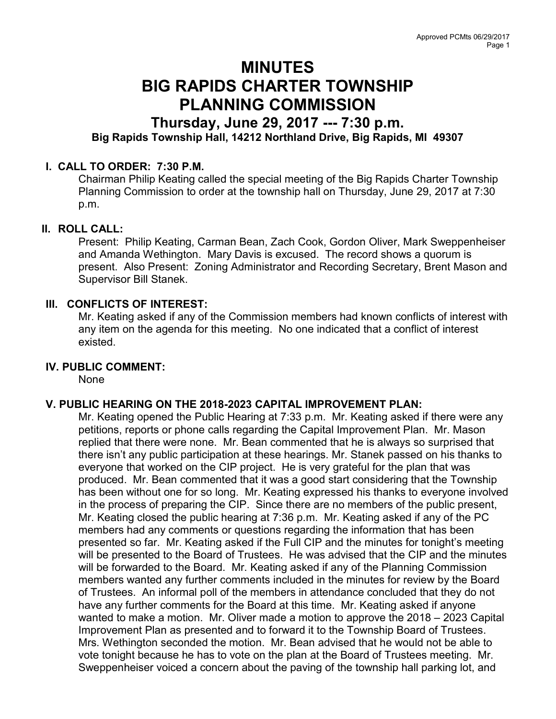# MINUTES BIG RAPIDS CHARTER TOWNSHIP PLANNING COMMISSION

# Thursday, June 29, 2017 --- 7:30 p.m. Big Rapids Township Hall, 14212 Northland Drive, Big Rapids, MI 49307

# I. CALL TO ORDER: 7:30 P.M.

Chairman Philip Keating called the special meeting of the Big Rapids Charter Township Planning Commission to order at the township hall on Thursday, June 29, 2017 at 7:30 p.m.

## II. ROLL CALL:

Present: Philip Keating, Carman Bean, Zach Cook, Gordon Oliver, Mark Sweppenheiser and Amanda Wethington. Mary Davis is excused. The record shows a quorum is present. Also Present: Zoning Administrator and Recording Secretary, Brent Mason and Supervisor Bill Stanek.

# III. CONFLICTS OF INTEREST:

Mr. Keating asked if any of the Commission members had known conflicts of interest with any item on the agenda for this meeting. No one indicated that a conflict of interest existed.

## IV. PUBLIC COMMENT:

None

## V. PUBLIC HEARING ON THE 2018-2023 CAPITAL IMPROVEMENT PLAN:

Mr. Keating opened the Public Hearing at 7:33 p.m. Mr. Keating asked if there were any petitions, reports or phone calls regarding the Capital Improvement Plan. Mr. Mason replied that there were none. Mr. Bean commented that he is always so surprised that there isn't any public participation at these hearings. Mr. Stanek passed on his thanks to everyone that worked on the CIP project. He is very grateful for the plan that was produced. Mr. Bean commented that it was a good start considering that the Township has been without one for so long. Mr. Keating expressed his thanks to everyone involved in the process of preparing the CIP. Since there are no members of the public present, Mr. Keating closed the public hearing at 7:36 p.m. Mr. Keating asked if any of the PC members had any comments or questions regarding the information that has been presented so far. Mr. Keating asked if the Full CIP and the minutes for tonight's meeting will be presented to the Board of Trustees. He was advised that the CIP and the minutes will be forwarded to the Board. Mr. Keating asked if any of the Planning Commission members wanted any further comments included in the minutes for review by the Board of Trustees. An informal poll of the members in attendance concluded that they do not have any further comments for the Board at this time. Mr. Keating asked if anyone wanted to make a motion. Mr. Oliver made a motion to approve the 2018 – 2023 Capital Improvement Plan as presented and to forward it to the Township Board of Trustees. Mrs. Wethington seconded the motion. Mr. Bean advised that he would not be able to vote tonight because he has to vote on the plan at the Board of Trustees meeting. Mr. Sweppenheiser voiced a concern about the paving of the township hall parking lot, and